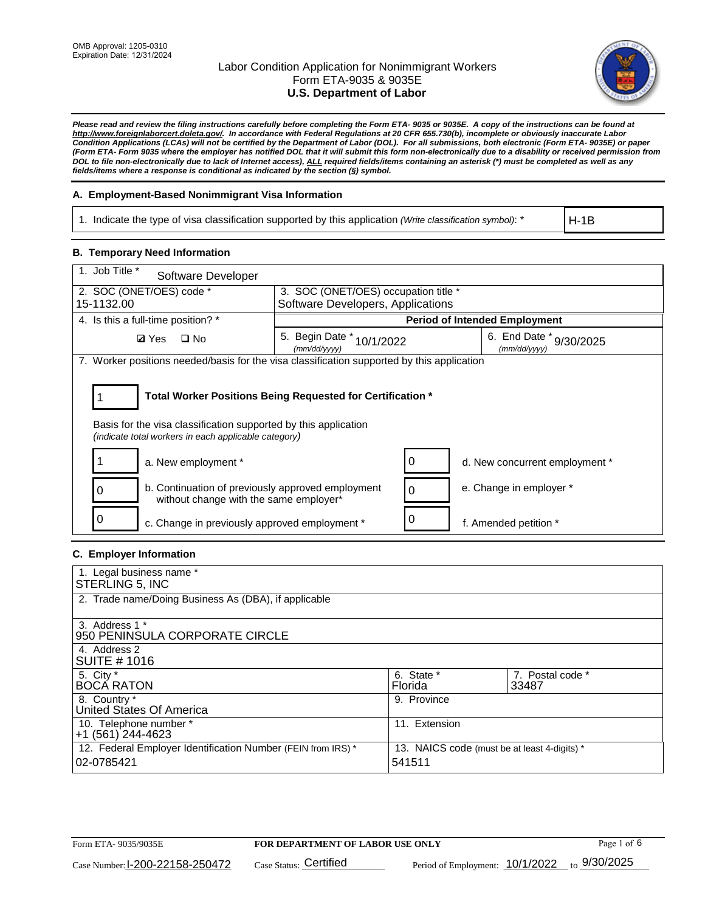

*Please read and review the filing instructions carefully before completing the Form ETA- 9035 or 9035E. A copy of the instructions can be found at [http://www.foreignlaborcert.doleta.gov/.](http://www.foreignlaborcert.doleta.gov/) In accordance with Federal Regulations at 20 CFR 655.730(b), incomplete or obviously inaccurate Labor Condition Applications (LCAs) will not be certified by the Department of Labor (DOL). For all submissions, both electronic (Form ETA- 9035E) or paper (Form ETA- Form 9035 where the employer has notified DOL that it will submit this form non-electronically due to a disability or received permission from DOL to file non-electronically due to lack of Internet access), ALL required fields/items containing an asterisk (\*) must be completed as well as any fields/items where a response is conditional as indicated by the section (§) symbol.* 

## **A. Employment-Based Nonimmigrant Visa Information**

1. Indicate the type of visa classification supported by this application *(Write classification symbol)*: \*

H-1B

## **B. Temporary Need Information**

| 1. Job Title *<br>Software Developer                                                                                                                                                  |                                                                                          |  |                                      |  |  |
|---------------------------------------------------------------------------------------------------------------------------------------------------------------------------------------|------------------------------------------------------------------------------------------|--|--------------------------------------|--|--|
| 2. SOC (ONET/OES) code *                                                                                                                                                              | 3. SOC (ONET/OES) occupation title *                                                     |  |                                      |  |  |
| 15-1132.00                                                                                                                                                                            | Software Developers, Applications                                                        |  |                                      |  |  |
| 4. Is this a full-time position? *                                                                                                                                                    |                                                                                          |  | <b>Period of Intended Employment</b> |  |  |
| $\square$ No<br><b>Ø</b> Yes                                                                                                                                                          | 5. Begin Date $*_{10/1/2022}$<br>6. End Date * 9/30/2025<br>(mm/dd/yyyy)<br>(mm/dd/yyyy) |  |                                      |  |  |
| 7. Worker positions needed/basis for the visa classification supported by this application                                                                                            |                                                                                          |  |                                      |  |  |
| Total Worker Positions Being Requested for Certification *<br>Basis for the visa classification supported by this application<br>(indicate total workers in each applicable category) |                                                                                          |  |                                      |  |  |
| a. New employment *                                                                                                                                                                   |                                                                                          |  | d. New concurrent employment *       |  |  |
| b. Continuation of previously approved employment<br>without change with the same employer*                                                                                           |                                                                                          |  | e. Change in employer *              |  |  |
| c. Change in previously approved employment *                                                                                                                                         |                                                                                          |  | f. Amended petition *                |  |  |

# **C. Employer Information**

| 1. Legal business name *                                     |                                              |                  |
|--------------------------------------------------------------|----------------------------------------------|------------------|
| STERLING 5, INC                                              |                                              |                  |
| 2. Trade name/Doing Business As (DBA), if applicable         |                                              |                  |
|                                                              |                                              |                  |
| 3. Address 1 *                                               |                                              |                  |
| 950 PENINSULA CORPORATE CIRCLE                               |                                              |                  |
| 4. Address 2                                                 |                                              |                  |
| <b>SUITE #1016</b>                                           |                                              |                  |
| 5. City *                                                    | 6. State *                                   | 7. Postal code * |
| <b>BOCA RATON</b>                                            | Florida                                      | 33487            |
| 8. Country *                                                 | 9. Province                                  |                  |
| United States Of America                                     |                                              |                  |
| 10. Telephone number *                                       | 11. Extension                                |                  |
| $+1(561)$ 244-4623                                           |                                              |                  |
| 12. Federal Employer Identification Number (FEIN from IRS) * | 13. NAICS code (must be at least 4-digits) * |                  |
| 02-0785421                                                   | 541511                                       |                  |
|                                                              |                                              |                  |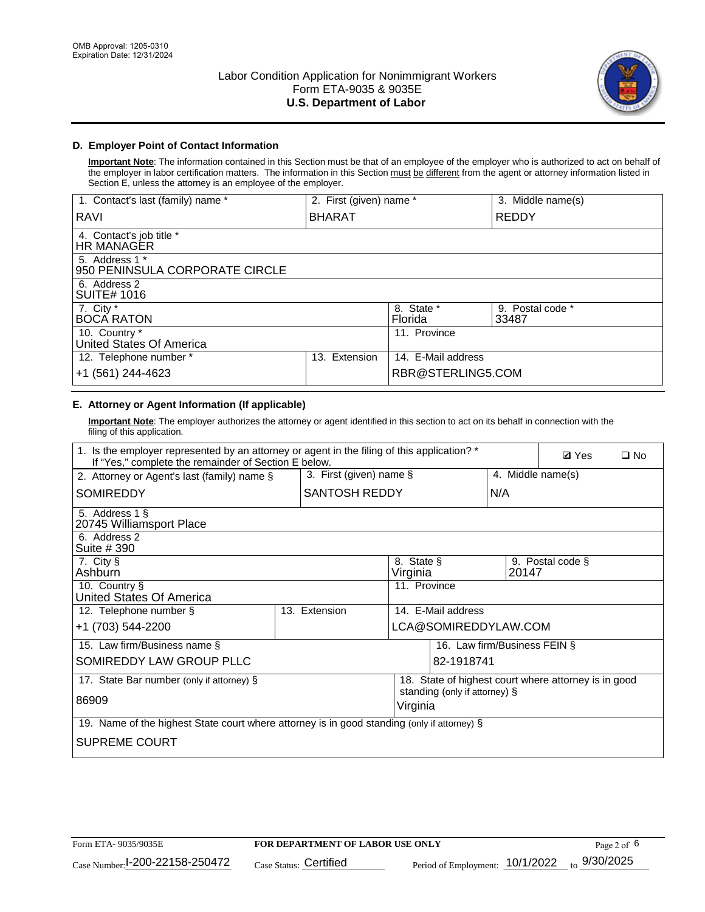

# **D. Employer Point of Contact Information**

**Important Note**: The information contained in this Section must be that of an employee of the employer who is authorized to act on behalf of the employer in labor certification matters. The information in this Section must be different from the agent or attorney information listed in Section E, unless the attorney is an employee of the employer.

| 1. Contact's last (family) name *                | 2. First (given) name * |                       | 3. Middle name(s)         |
|--------------------------------------------------|-------------------------|-----------------------|---------------------------|
| RAVI                                             | <b>BHARAT</b>           |                       | <b>REDDY</b>              |
| 4. Contact's job title *<br>HR MANAGER           |                         |                       |                           |
| 5. Address 1 *<br>950 PENINSULA CORPORATE CIRCLE |                         |                       |                           |
| 6. Address 2<br><b>SUITE# 1016</b>               |                         |                       |                           |
| 7. City $*$<br><b>BOCA RATON</b>                 |                         | 8. State *<br>Florida | 9. Postal code *<br>33487 |
| 10. Country *<br>United States Of America        |                         | 11. Province          |                           |
| 12. Telephone number *                           | Extension<br>13.        | 14. E-Mail address    |                           |
| +1 (561) 244-4623                                |                         | RBR@STERLING5.COM     |                           |

# **E. Attorney or Agent Information (If applicable)**

**Important Note**: The employer authorizes the attorney or agent identified in this section to act on its behalf in connection with the filing of this application.

| 1. Is the employer represented by an attorney or agent in the filing of this application? *<br>If "Yes," complete the remainder of Section E below. | <b>Ø</b> Yes<br>$\square$ No                                                          |                         |                      |                   |  |  |
|-----------------------------------------------------------------------------------------------------------------------------------------------------|---------------------------------------------------------------------------------------|-------------------------|----------------------|-------------------|--|--|
| 2. Attorney or Agent's last (family) name §                                                                                                         |                                                                                       | 3. First (given) name § |                      | 4. Middle name(s) |  |  |
| SOMIREDDY                                                                                                                                           | <b>SANTOSH REDDY</b>                                                                  |                         | N/A                  |                   |  |  |
| 5. Address 1 §<br>20745 Williamsport Place                                                                                                          |                                                                                       |                         |                      |                   |  |  |
| 6. Address 2<br>Suite # 390                                                                                                                         |                                                                                       |                         |                      |                   |  |  |
| 7. City §<br>Ashburn                                                                                                                                |                                                                                       | 8. State §<br>Virginia  | 20147                | 9. Postal code §  |  |  |
| 10. Country §<br><b>United States Of America</b>                                                                                                    |                                                                                       |                         | 11. Province         |                   |  |  |
| 12. Telephone number §                                                                                                                              | 13. Extension                                                                         | 14. E-Mail address      |                      |                   |  |  |
| +1 (703) 544-2200                                                                                                                                   |                                                                                       |                         | LCA@SOMIREDDYLAW.COM |                   |  |  |
| 15. Law firm/Business name §<br>16. Law firm/Business FEIN §                                                                                        |                                                                                       |                         |                      |                   |  |  |
| SOMIREDDY LAW GROUP PLLC                                                                                                                            |                                                                                       |                         | 82-1918741           |                   |  |  |
| 17. State Bar number (only if attorney) §                                                                                                           | 18. State of highest court where attorney is in good<br>standing (only if attorney) § |                         |                      |                   |  |  |
| 86909                                                                                                                                               |                                                                                       | Virginia                |                      |                   |  |  |
| 19. Name of the highest State court where attorney is in good standing (only if attorney) §                                                         |                                                                                       |                         |                      |                   |  |  |
| <b>SUPREME COURT</b>                                                                                                                                |                                                                                       |                         |                      |                   |  |  |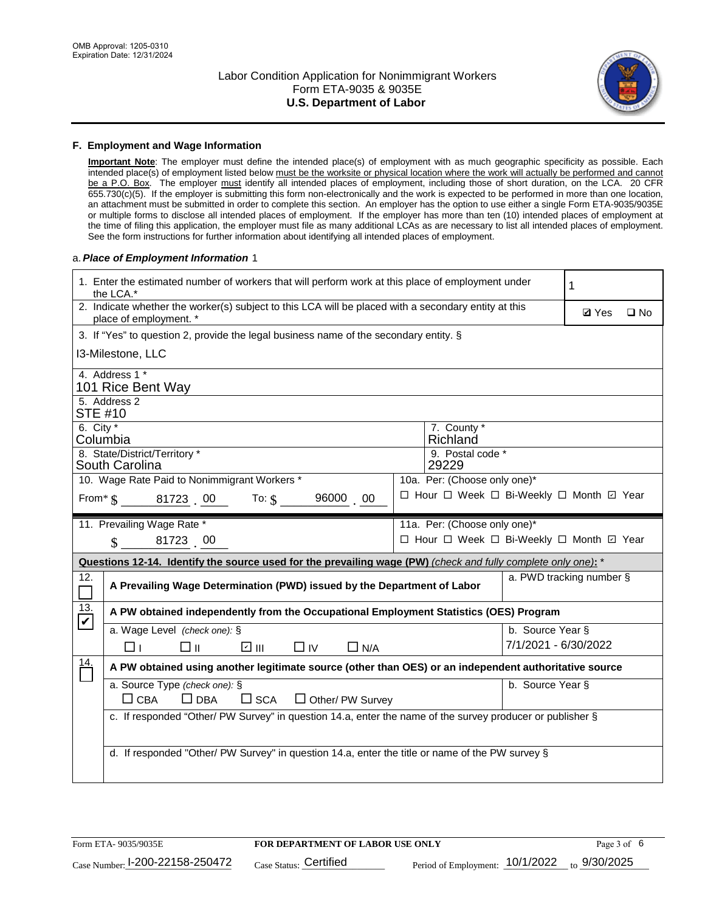

#### **F. Employment and Wage Information**

**Important Note**: The employer must define the intended place(s) of employment with as much geographic specificity as possible. Each intended place(s) of employment listed below must be the worksite or physical location where the work will actually be performed and cannot be a P.O. Box. The employer must identify all intended places of employment, including those of short duration, on the LCA. 20 CFR 655.730(c)(5). If the employer is submitting this form non-electronically and the work is expected to be performed in more than one location, an attachment must be submitted in order to complete this section. An employer has the option to use either a single Form ETA-9035/9035E or multiple forms to disclose all intended places of employment. If the employer has more than ten (10) intended places of employment at the time of filing this application, the employer must file as many additional LCAs as are necessary to list all intended places of employment. See the form instructions for further information about identifying all intended places of employment.

#### a.*Place of Employment Information* 1

| 1. Enter the estimated number of workers that will perform work at this place of employment under<br>1<br>the LCA.*            |                                                                                                       |  |  |  |  |  |
|--------------------------------------------------------------------------------------------------------------------------------|-------------------------------------------------------------------------------------------------------|--|--|--|--|--|
| 2. Indicate whether the worker(s) subject to this LCA will be placed with a secondary entity at this<br>place of employment. * | <b>Ø</b> Yes<br>$\square$ No                                                                          |  |  |  |  |  |
| 3. If "Yes" to question 2, provide the legal business name of the secondary entity. §                                          |                                                                                                       |  |  |  |  |  |
| I3-Milestone, LLC                                                                                                              |                                                                                                       |  |  |  |  |  |
| 4. Address 1 *<br>101 Rice Bent Way                                                                                            |                                                                                                       |  |  |  |  |  |
| 5. Address 2<br>STE #10                                                                                                        |                                                                                                       |  |  |  |  |  |
| 6. City $*$<br>7. County *<br>Richland<br>Columbia                                                                             |                                                                                                       |  |  |  |  |  |
| 8. State/District/Territory *<br>9. Postal code *<br>South Carolina<br>29229                                                   |                                                                                                       |  |  |  |  |  |
| 10. Wage Rate Paid to Nonimmigrant Workers *<br>10a. Per: (Choose only one)*                                                   |                                                                                                       |  |  |  |  |  |
| □ Hour □ Week □ Bi-Weekly □ Month ☑ Year<br>From $*$ $\S$ 81723 00 To: $\S$<br>96000 00                                        |                                                                                                       |  |  |  |  |  |
| 11. Prevailing Wage Rate *<br>11a. Per: (Choose only one)*                                                                     |                                                                                                       |  |  |  |  |  |
| □ Hour □ Week □ Bi-Weekly □ Month ☑ Year<br>81723 00<br>$\mathcal{S}$                                                          |                                                                                                       |  |  |  |  |  |
| Questions 12-14. Identify the source used for the prevailing wage (PW) (check and fully complete only one): *                  |                                                                                                       |  |  |  |  |  |
| a. PWD tracking number §<br>12.<br>A Prevailing Wage Determination (PWD) issued by the Department of Labor<br>П                |                                                                                                       |  |  |  |  |  |
| $\frac{13}{\sqrt{ }}$<br>A PW obtained independently from the Occupational Employment Statistics (OES) Program                 |                                                                                                       |  |  |  |  |  |
| a. Wage Level (check one): §<br>b. Source Year §                                                                               |                                                                                                       |  |  |  |  |  |
| 7/1/2021 - 6/30/2022<br>☑ Ⅲ<br>□⊪<br>$\Box$ IV<br>$\Box$ N/A<br>□⊥                                                             |                                                                                                       |  |  |  |  |  |
| $\frac{14}{1}$                                                                                                                 | A PW obtained using another legitimate source (other than OES) or an independent authoritative source |  |  |  |  |  |
| a. Source Type (check one): §<br>b. Source Year §                                                                              |                                                                                                       |  |  |  |  |  |
|                                                                                                                                |                                                                                                       |  |  |  |  |  |
| $\Box$ CBA<br>$\Box$ DBA<br>$\square$ SCA<br>$\Box$ Other/ PW Survey                                                           |                                                                                                       |  |  |  |  |  |
| c. If responded "Other/ PW Survey" in question 14.a, enter the name of the survey producer or publisher §                      |                                                                                                       |  |  |  |  |  |
| d. If responded "Other/ PW Survey" in question 14.a, enter the title or name of the PW survey §                                |                                                                                                       |  |  |  |  |  |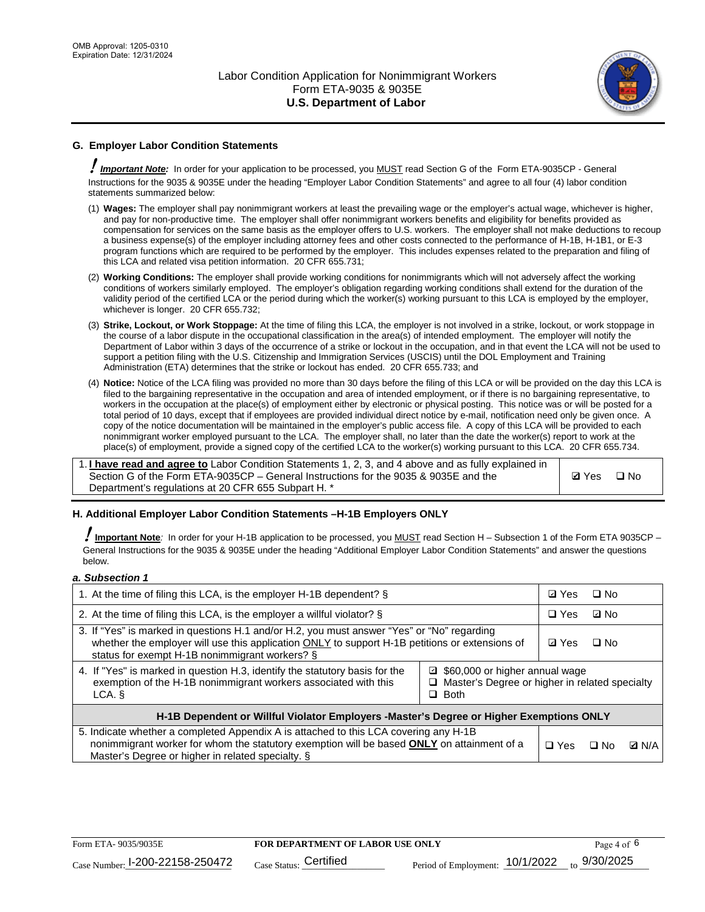

# **G. Employer Labor Condition Statements**

! *Important Note:* In order for your application to be processed, you MUST read Section G of the Form ETA-9035CP - General Instructions for the 9035 & 9035E under the heading "Employer Labor Condition Statements" and agree to all four (4) labor condition statements summarized below:

- (1) **Wages:** The employer shall pay nonimmigrant workers at least the prevailing wage or the employer's actual wage, whichever is higher, and pay for non-productive time. The employer shall offer nonimmigrant workers benefits and eligibility for benefits provided as compensation for services on the same basis as the employer offers to U.S. workers. The employer shall not make deductions to recoup a business expense(s) of the employer including attorney fees and other costs connected to the performance of H-1B, H-1B1, or E-3 program functions which are required to be performed by the employer. This includes expenses related to the preparation and filing of this LCA and related visa petition information. 20 CFR 655.731;
- (2) **Working Conditions:** The employer shall provide working conditions for nonimmigrants which will not adversely affect the working conditions of workers similarly employed. The employer's obligation regarding working conditions shall extend for the duration of the validity period of the certified LCA or the period during which the worker(s) working pursuant to this LCA is employed by the employer, whichever is longer. 20 CFR 655.732;
- (3) **Strike, Lockout, or Work Stoppage:** At the time of filing this LCA, the employer is not involved in a strike, lockout, or work stoppage in the course of a labor dispute in the occupational classification in the area(s) of intended employment. The employer will notify the Department of Labor within 3 days of the occurrence of a strike or lockout in the occupation, and in that event the LCA will not be used to support a petition filing with the U.S. Citizenship and Immigration Services (USCIS) until the DOL Employment and Training Administration (ETA) determines that the strike or lockout has ended. 20 CFR 655.733; and
- (4) **Notice:** Notice of the LCA filing was provided no more than 30 days before the filing of this LCA or will be provided on the day this LCA is filed to the bargaining representative in the occupation and area of intended employment, or if there is no bargaining representative, to workers in the occupation at the place(s) of employment either by electronic or physical posting. This notice was or will be posted for a total period of 10 days, except that if employees are provided individual direct notice by e-mail, notification need only be given once. A copy of the notice documentation will be maintained in the employer's public access file. A copy of this LCA will be provided to each nonimmigrant worker employed pursuant to the LCA. The employer shall, no later than the date the worker(s) report to work at the place(s) of employment, provide a signed copy of the certified LCA to the worker(s) working pursuant to this LCA. 20 CFR 655.734.

1. **I have read and agree to** Labor Condition Statements 1, 2, 3, and 4 above and as fully explained in Section G of the Form ETA-9035CP – General Instructions for the 9035 & 9035E and the Department's regulations at 20 CFR 655 Subpart H. \*

**Ø**Yes ロNo

#### **H. Additional Employer Labor Condition Statements –H-1B Employers ONLY**

!**Important Note***:* In order for your H-1B application to be processed, you MUST read Section H – Subsection 1 of the Form ETA 9035CP – General Instructions for the 9035 & 9035E under the heading "Additional Employer Labor Condition Statements" and answer the questions below.

#### *a. Subsection 1*

| 1. At the time of filing this LCA, is the employer H-1B dependent? §                                                                                                                                                                                            |  |            | $\square$ No |              |  |
|-----------------------------------------------------------------------------------------------------------------------------------------------------------------------------------------------------------------------------------------------------------------|--|------------|--------------|--------------|--|
| 2. At the time of filing this LCA, is the employer a willful violator? $\S$                                                                                                                                                                                     |  | $\Box$ Yes | ⊡ No         |              |  |
| 3. If "Yes" is marked in questions H.1 and/or H.2, you must answer "Yes" or "No" regarding<br>whether the employer will use this application ONLY to support H-1B petitions or extensions of<br>status for exempt H-1B nonimmigrant workers? §                  |  |            | $\Box$ No    |              |  |
| 4. If "Yes" is marked in question H.3, identify the statutory basis for the<br>■ \$60,000 or higher annual wage<br>exemption of the H-1B nonimmigrant workers associated with this<br>□ Master's Degree or higher in related specialty<br>$\Box$ Both<br>LCA. § |  |            |              |              |  |
| H-1B Dependent or Willful Violator Employers -Master's Degree or Higher Exemptions ONLY                                                                                                                                                                         |  |            |              |              |  |
| 5. Indicate whether a completed Appendix A is attached to this LCA covering any H-1B<br>nonimmigrant worker for whom the statutory exemption will be based <b>ONLY</b> on attainment of a<br>Master's Degree or higher in related specialty. §                  |  |            | ⊡ No         | <b>Q</b> N/A |  |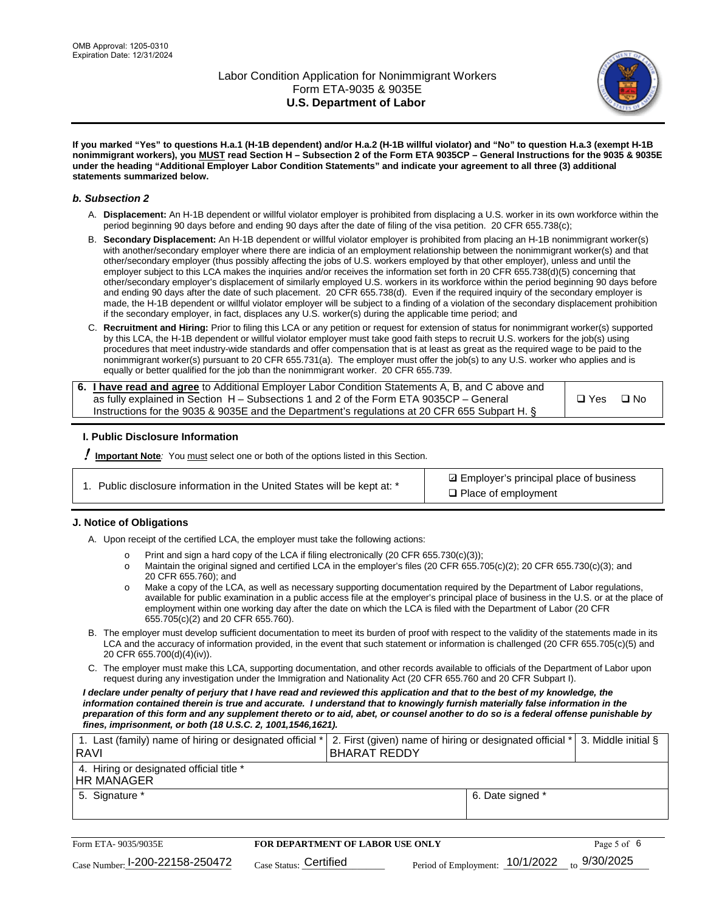

**If you marked "Yes" to questions H.a.1 (H-1B dependent) and/or H.a.2 (H-1B willful violator) and "No" to question H.a.3 (exempt H-1B nonimmigrant workers), you MUST read Section H – Subsection 2 of the Form ETA 9035CP – General Instructions for the 9035 & 9035E under the heading "Additional Employer Labor Condition Statements" and indicate your agreement to all three (3) additional statements summarized below.**

#### *b. Subsection 2*

- A. **Displacement:** An H-1B dependent or willful violator employer is prohibited from displacing a U.S. worker in its own workforce within the period beginning 90 days before and ending 90 days after the date of filing of the visa petition. 20 CFR 655.738(c);
- B. **Secondary Displacement:** An H-1B dependent or willful violator employer is prohibited from placing an H-1B nonimmigrant worker(s) with another/secondary employer where there are indicia of an employment relationship between the nonimmigrant worker(s) and that other/secondary employer (thus possibly affecting the jobs of U.S. workers employed by that other employer), unless and until the employer subject to this LCA makes the inquiries and/or receives the information set forth in 20 CFR 655.738(d)(5) concerning that other/secondary employer's displacement of similarly employed U.S. workers in its workforce within the period beginning 90 days before and ending 90 days after the date of such placement. 20 CFR 655.738(d). Even if the required inquiry of the secondary employer is made, the H-1B dependent or willful violator employer will be subject to a finding of a violation of the secondary displacement prohibition if the secondary employer, in fact, displaces any U.S. worker(s) during the applicable time period; and
- C. **Recruitment and Hiring:** Prior to filing this LCA or any petition or request for extension of status for nonimmigrant worker(s) supported by this LCA, the H-1B dependent or willful violator employer must take good faith steps to recruit U.S. workers for the job(s) using procedures that meet industry-wide standards and offer compensation that is at least as great as the required wage to be paid to the nonimmigrant worker(s) pursuant to 20 CFR 655.731(a). The employer must offer the job(s) to any U.S. worker who applies and is equally or better qualified for the job than the nonimmigrant worker. 20 CFR 655.739.

| 6. I have read and agree to Additional Employer Labor Condition Statements A, B, and C above and |       |           |
|--------------------------------------------------------------------------------------------------|-------|-----------|
| as fully explained in Section H – Subsections 1 and 2 of the Form ETA 9035CP – General           | □ Yes | $\Box$ No |
| Instructions for the 9035 & 9035E and the Department's regulations at 20 CFR 655 Subpart H. §    |       |           |

#### **I. Public Disclosure Information**

! **Important Note***:* You must select one or both of the options listed in this Section.

| 1. Public disclosure information in the United States will be kept at: * |  |  |  |  |  |  |  |
|--------------------------------------------------------------------------|--|--|--|--|--|--|--|
|--------------------------------------------------------------------------|--|--|--|--|--|--|--|

**sqrt** Employer's principal place of business □ Place of employment

#### **J. Notice of Obligations**

A. Upon receipt of the certified LCA, the employer must take the following actions:

- o Print and sign a hard copy of the LCA if filing electronically (20 CFR 655.730(c)(3));<br>
Maintain the original signed and certified LCA in the employer's files (20 CFR 655.7
- Maintain the original signed and certified LCA in the employer's files (20 CFR 655.705(c)(2); 20 CFR 655.730(c)(3); and 20 CFR 655.760); and
- o Make a copy of the LCA, as well as necessary supporting documentation required by the Department of Labor regulations, available for public examination in a public access file at the employer's principal place of business in the U.S. or at the place of employment within one working day after the date on which the LCA is filed with the Department of Labor (20 CFR 655.705(c)(2) and 20 CFR 655.760).
- B. The employer must develop sufficient documentation to meet its burden of proof with respect to the validity of the statements made in its LCA and the accuracy of information provided, in the event that such statement or information is challenged (20 CFR 655.705(c)(5) and 20 CFR 655.700(d)(4)(iv)).
- C. The employer must make this LCA, supporting documentation, and other records available to officials of the Department of Labor upon request during any investigation under the Immigration and Nationality Act (20 CFR 655.760 and 20 CFR Subpart I).

*I declare under penalty of perjury that I have read and reviewed this application and that to the best of my knowledge, the*  information contained therein is true and accurate. I understand that to knowingly furnish materially false information in the *preparation of this form and any supplement thereto or to aid, abet, or counsel another to do so is a federal offense punishable by fines, imprisonment, or both (18 U.S.C. 2, 1001,1546,1621).*

| 1. Last (family) name of hiring or designated official * <br><b>RAVI</b> | 2. First (given) name of hiring or designated official * 3. Middle initial §<br><b>BHARAT REDDY</b> |  |
|--------------------------------------------------------------------------|-----------------------------------------------------------------------------------------------------|--|
| 4. Hiring or designated official title *<br>IHR MANAGER                  |                                                                                                     |  |
| 5. Signature *                                                           | 6. Date signed *                                                                                    |  |
|                                                                          |                                                                                                     |  |

| Form ETA-9035/9035E                         | <b>FOR DEPARTMENT OF LABOR USE ONLY</b> |                                              | Page 5 of 6 |
|---------------------------------------------|-----------------------------------------|----------------------------------------------|-------------|
| $_{\text{Case Number:}}$ I-200-22158-250472 | $_{\rm Case~S status:}$ Certified       | Period of Employment: 10/1/2022 to 9/30/2025 |             |